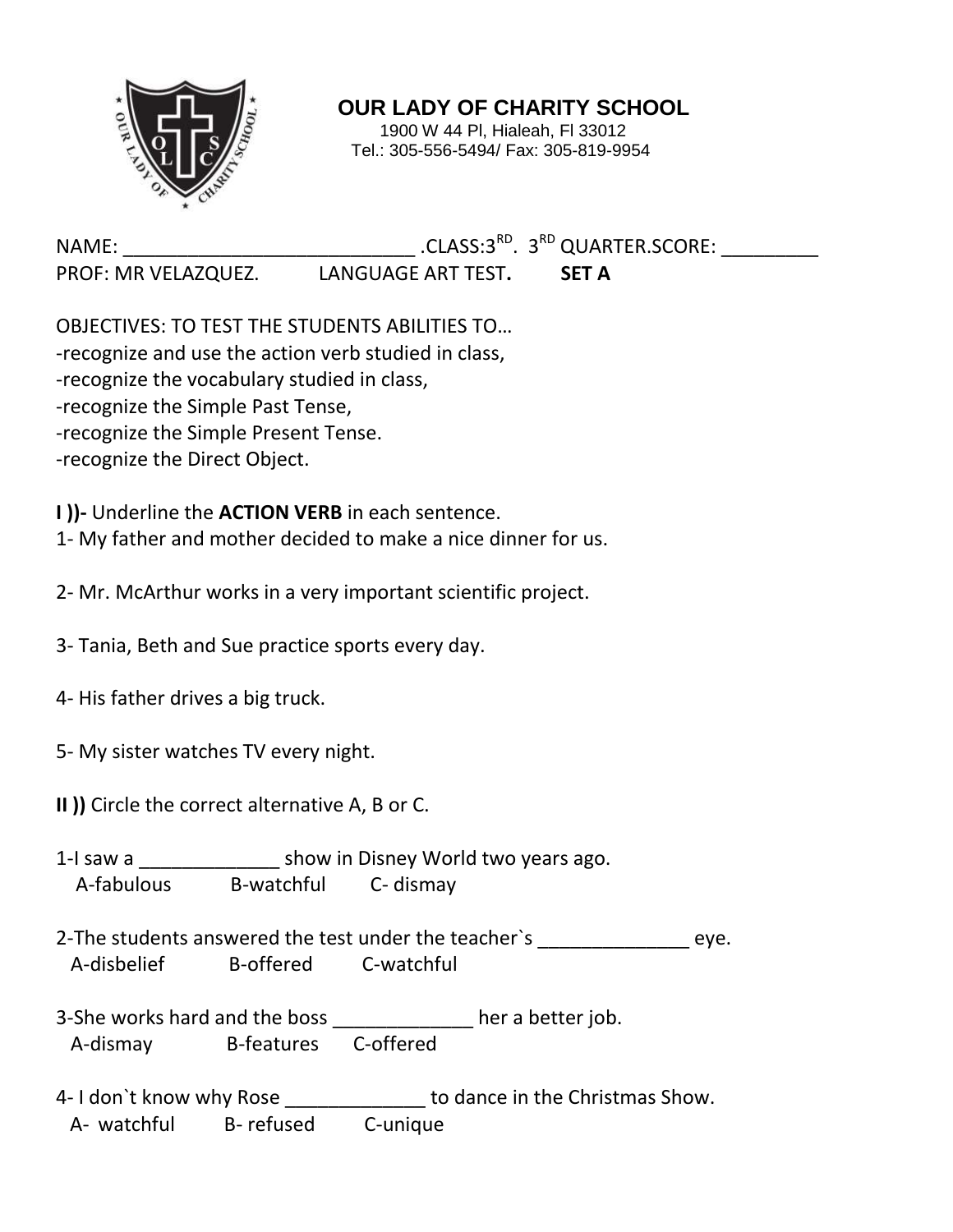

**OUR LADY OF CHARITY SCHOOL**

1900 W 44 Pl, Hialeah, Fl 33012 Tel.: 305-556-5494/ Fax: 305-819-9954

NAME: CLASS:3<sup>RD</sup>. 3<sup>RD</sup> QUARTER.SCORE:

PROF: MR VELAZQUEZ. LANGUAGE ART TEST**. SET A**

OBJECTIVES: TO TEST THE STUDENTS ABILITIES TO… -recognize and use the action verb studied in class, -recognize the vocabulary studied in class, -recognize the Simple Past Tense, -recognize the Simple Present Tense. -recognize the Direct Object.

**I ))-** Underline the **ACTION VERB** in each sentence.

1- My father and mother decided to make a nice dinner for us.

2- Mr. McArthur works in a very important scientific project.

- 3- Tania, Beth and Sue practice sports every day.
- 4- His father drives a big truck.
- 5- My sister watches TV every night.
- **II ))** Circle the correct alternative A, B or C.
- 1-I saw a \_\_\_\_\_\_\_\_\_\_\_\_\_ show in Disney World two years ago. A-fabulous B-watchful C- dismay
- 2-The students answered the test under the teacher's eye. A-disbelief B-offered C-watchful
- 3-She works hard and the boss \_\_\_\_\_\_\_\_\_\_\_\_\_ her a better job. A-dismay B-features C-offered
- 4- I don't know why Rose \_\_\_\_\_\_\_\_\_\_\_\_\_\_\_ to dance in the Christmas Show. A- watchful B- refused C-unique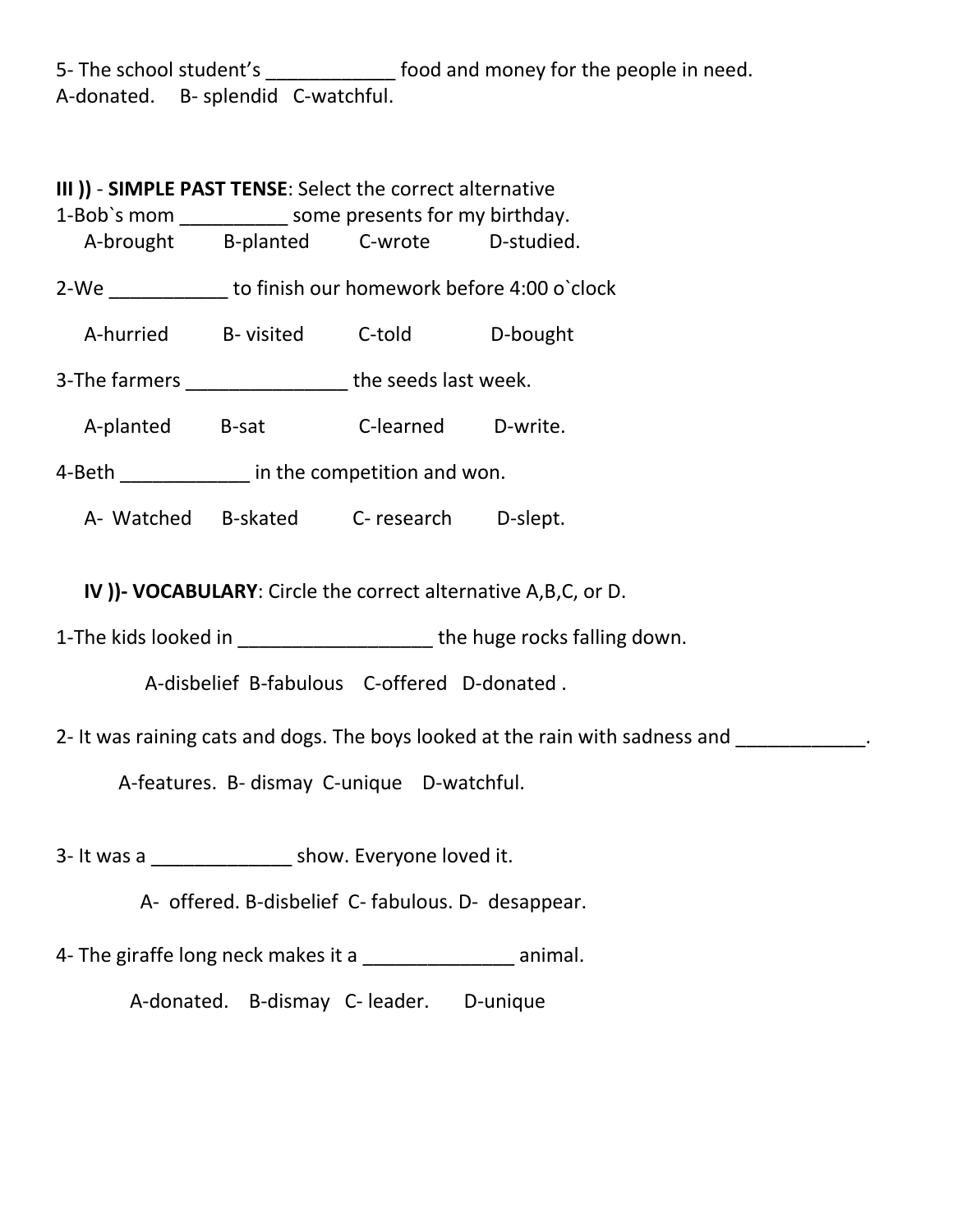5- The school student's \_\_\_\_\_\_\_\_\_\_\_\_\_\_ food and money for the people in need. A-donated. B- splendid C-watchful.

**III ))** - **SIMPLE PAST TENSE**: Select the correct alternative 1-Bob's mom some presents for my birthday. A-brought B-planted C-wrote D-studied. 2-We to finish our homework before 4:00 o`clock A-hurried B- visited C-told D-bought 3-The farmers \_\_\_\_\_\_\_\_\_\_\_\_\_\_\_ the seeds last week. A-planted B-sat C-learned D-write. 4-Beth **Exercise Exercise in the competition and won.** A- Watched B-skated C- research D-slept.

**IV ))- VOCABULARY**: Circle the correct alternative A,B,C, or D.

1-The kids looked in \_\_\_\_\_\_\_\_\_\_\_\_\_\_\_\_\_\_\_\_\_\_\_ the huge rocks falling down.

A-disbelief B-fabulous C-offered D-donated .

2- It was raining cats and dogs. The boys looked at the rain with sadness and **with** cannot be a set of the same of

A-features. B- dismay C-unique D-watchful.

3- It was a \_\_\_\_\_\_\_\_\_\_\_\_\_ show. Everyone loved it.

A- offered. B-disbelief C- fabulous. D- desappear.

4- The giraffe long neck makes it a \_\_\_\_\_\_\_\_\_\_\_\_\_\_\_\_\_\_ animal.

A-donated. B-dismay C- leader. D-unique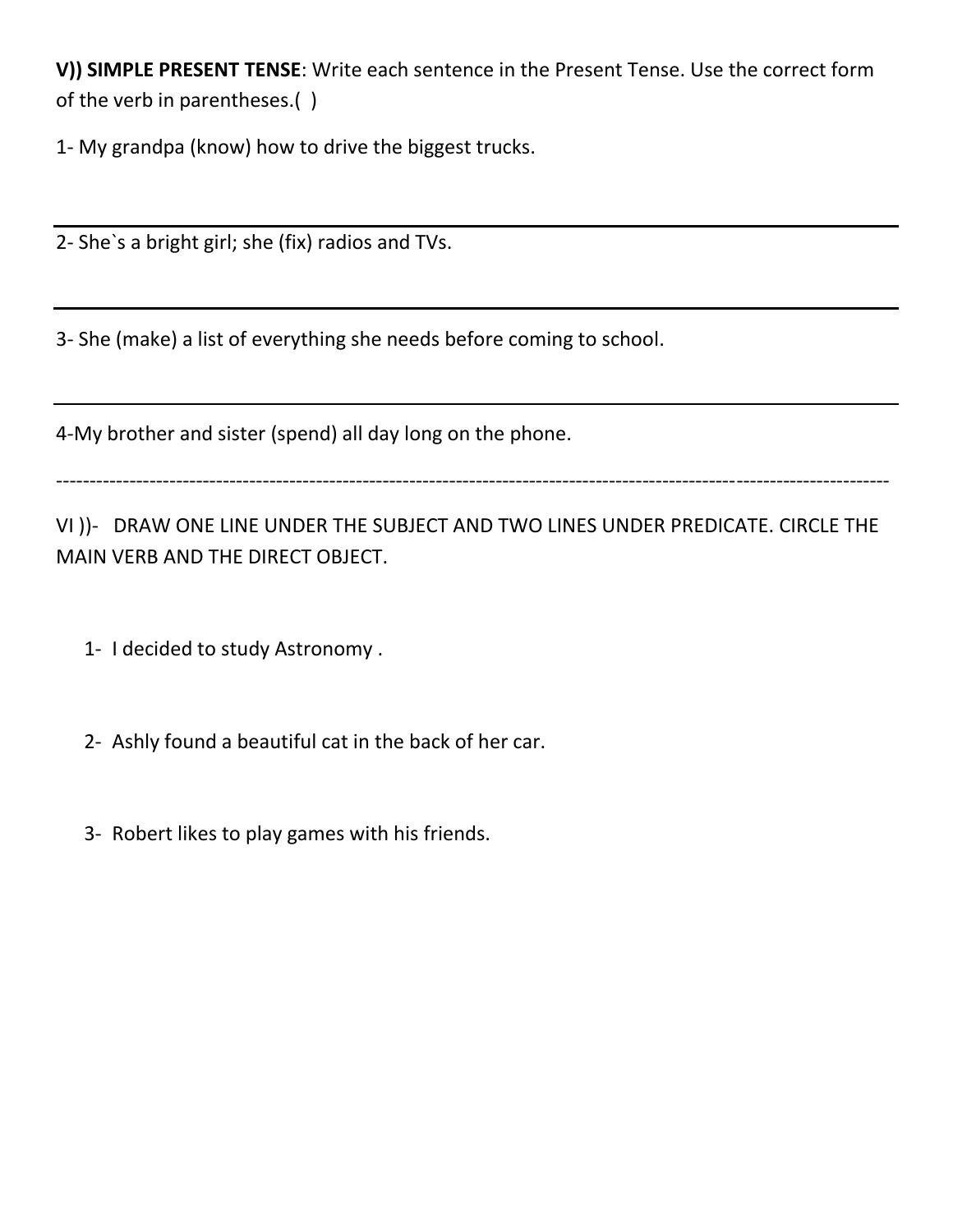**V)) SIMPLE PRESENT TENSE**: Write each sentence in the Present Tense. Use the correct form of the verb in parentheses.( )

1- My grandpa (know) how to drive the biggest trucks.

2- She`s a bright girl; she (fix) radios and TVs.

3- She (make) a list of everything she needs before coming to school.

4-My brother and sister (spend) all day long on the phone.

-----------------------------------------------------------------------------------------------------------------------------

VI ))- DRAW ONE LINE UNDER THE SUBJECT AND TWO LINES UNDER PREDICATE. CIRCLE THE MAIN VERB AND THE DIRECT OBJECT.

- 1- I decided to study Astronomy .
- 2- Ashly found a beautiful cat in the back of her car.
- 3- Robert likes to play games with his friends.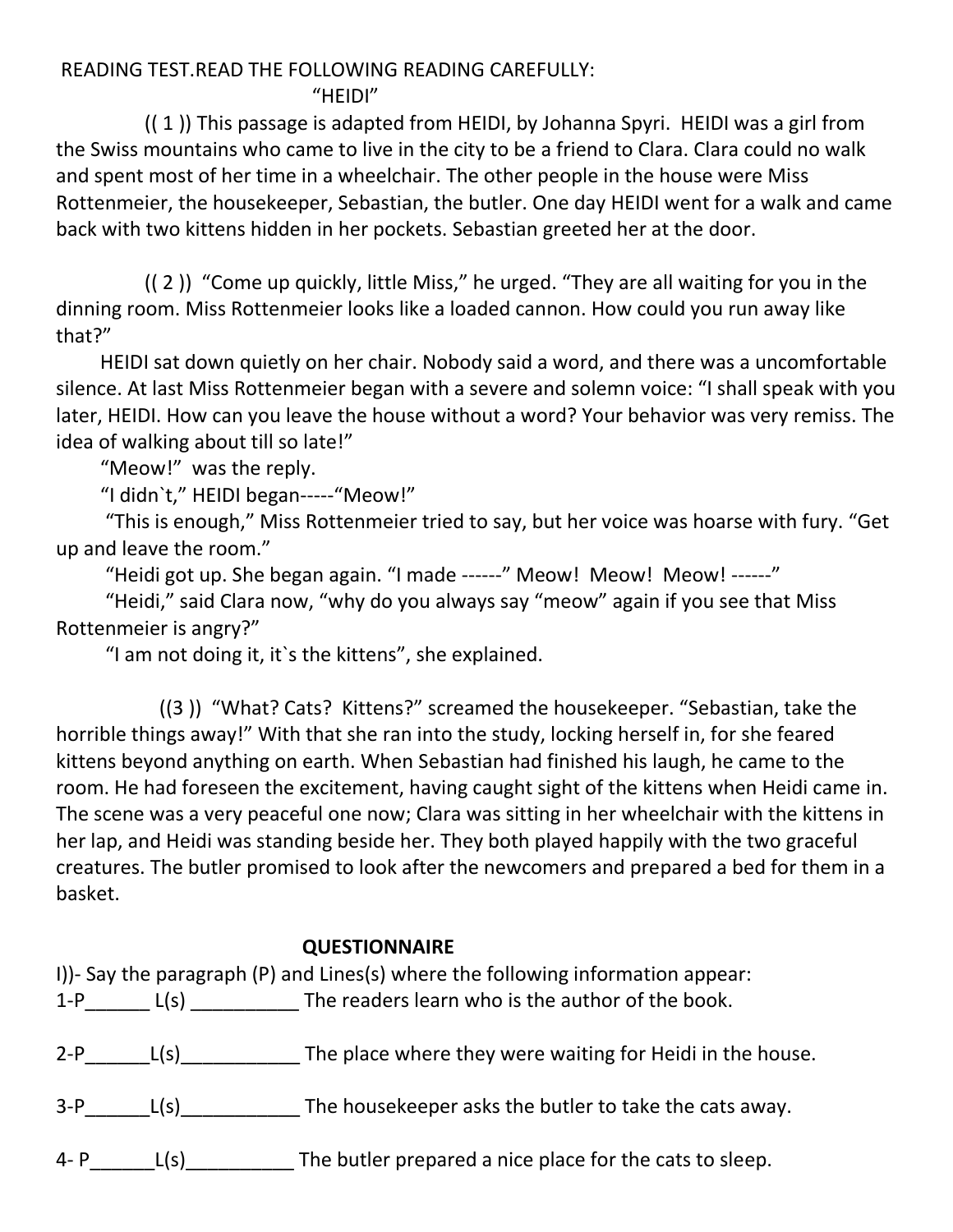#### READING TEST.READ THE FOLLOWING READING CAREFULLY: "HEIDI"

 (( 1 )) This passage is adapted from HEIDI, by Johanna Spyri. HEIDI was a girl from the Swiss mountains who came to live in the city to be a friend to Clara. Clara could no walk and spent most of her time in a wheelchair. The other people in the house were Miss Rottenmeier, the housekeeper, Sebastian, the butler. One day HEIDI went for a walk and came back with two kittens hidden in her pockets. Sebastian greeted her at the door.

 (( 2 )) "Come up quickly, little Miss," he urged. "They are all waiting for you in the dinning room. Miss Rottenmeier looks like a loaded cannon. How could you run away like that?"

 HEIDI sat down quietly on her chair. Nobody said a word, and there was a uncomfortable silence. At last Miss Rottenmeier began with a severe and solemn voice: "I shall speak with you later, HEIDI. How can you leave the house without a word? Your behavior was very remiss. The idea of walking about till so late!"

"Meow!" was the reply.

"I didn`t," HEIDI began-----"Meow!"

 "This is enough," Miss Rottenmeier tried to say, but her voice was hoarse with fury. "Get up and leave the room."

"Heidi got up. She began again. "I made ------" Meow! Meow! Meow! ------"

 "Heidi," said Clara now, "why do you always say "meow" again if you see that Miss Rottenmeier is angry?"

"I am not doing it, it`s the kittens", she explained.

 ((3 )) "What? Cats? Kittens?" screamed the housekeeper. "Sebastian, take the horrible things away!" With that she ran into the study, locking herself in, for she feared kittens beyond anything on earth. When Sebastian had finished his laugh, he came to the room. He had foreseen the excitement, having caught sight of the kittens when Heidi came in. The scene was a very peaceful one now; Clara was sitting in her wheelchair with the kittens in her lap, and Heidi was standing beside her. They both played happily with the two graceful creatures. The butler promised to look after the newcomers and prepared a bed for them in a basket.

### **QUESTIONNAIRE**

| $1-P$ |              | I))- Say the paragraph (P) and Lines(s) where the following information appear:<br>L(s) The readers learn who is the author of the book. |
|-------|--------------|------------------------------------------------------------------------------------------------------------------------------------------|
|       | $2-P$ $L(s)$ | The place where they were waiting for Heidi in the house.                                                                                |
| $3-P$ | L(s)         | The house keeper asks the butler to take the cats away.                                                                                  |
| 4- P  | L(s)         | The butler prepared a nice place for the cats to sleep.                                                                                  |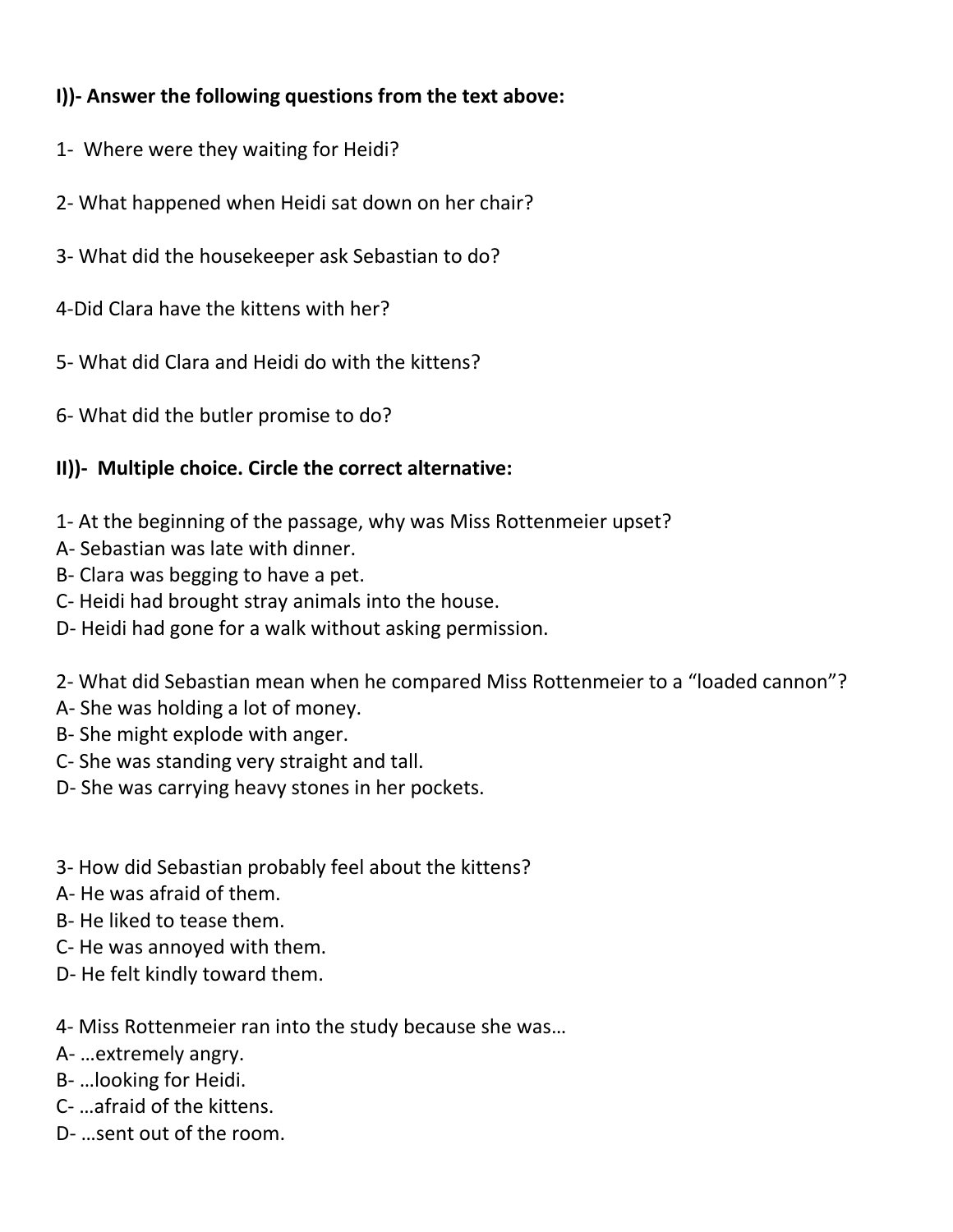# **I))- Answer the following questions from the text above:**

- 1- Where were they waiting for Heidi?
- 2- What happened when Heidi sat down on her chair?
- 3- What did the housekeeper ask Sebastian to do?

4-Did Clara have the kittens with her?

5- What did Clara and Heidi do with the kittens?

6- What did the butler promise to do?

## **II))- Multiple choice. Circle the correct alternative:**

1- At the beginning of the passage, why was Miss Rottenmeier upset?

- A- Sebastian was late with dinner.
- B- Clara was begging to have a pet.
- C- Heidi had brought stray animals into the house.
- D- Heidi had gone for a walk without asking permission.

2- What did Sebastian mean when he compared Miss Rottenmeier to a "loaded cannon"?

- A- She was holding a lot of money.
- B- She might explode with anger.
- C- She was standing very straight and tall.
- D- She was carrying heavy stones in her pockets.
- 3- How did Sebastian probably feel about the kittens?
- A- He was afraid of them.
- B- He liked to tease them.
- C- He was annoyed with them.
- D- He felt kindly toward them.

4- Miss Rottenmeier ran into the study because she was…

- A- …extremely angry.
- B- …looking for Heidi.
- C- …afraid of the kittens.
- D- …sent out of the room.